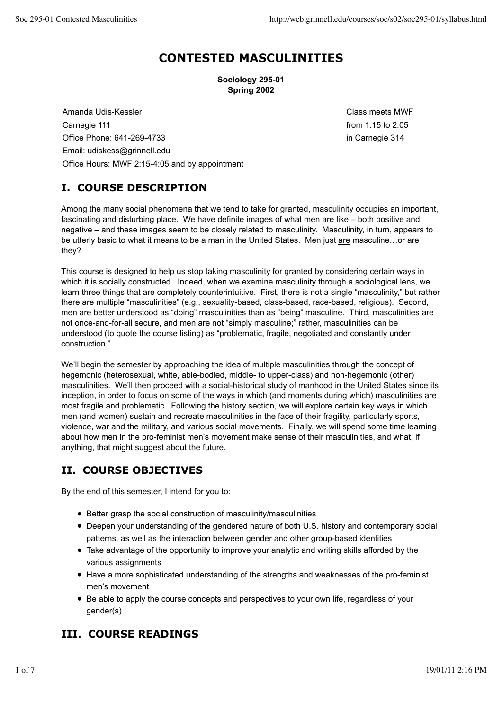# **CONTESTED MASCULINITIES**

**Sociology 295-01 Spring 2002**

Amanda Udis-Kessler Class meets MWF Carnegie 111 **Carnegie 111 Carnegie 111 Carnegie 111 from 1:15 to 2:05** Office Phone: 641-269-4733 in Carnegie 314 Email: udiskess@grinnell.edu Office Hours: MWF 2:15-4:05 and by appointment

## **I. COURSE DESCRIPTION**

Among the many social phenomena that we tend to take for granted, masculinity occupies an important, fascinating and disturbing place. We have definite images of what men are like – both positive and negative – and these images seem to be closely related to masculinity. Masculinity, in turn, appears to be utterly basic to what it means to be a man in the United States. Men just are masculine...or are they?

This course is designed to help us stop taking masculinity for granted by considering certain ways in which it is socially constructed. Indeed, when we examine masculinity through a sociological lens, we learn three things that are completely counterintuitive. First, there is not a single "masculinity," but rather there are multiple "masculinities" (e.g., sexuality-based, class-based, race-based, religious). Second, men are better understood as "doing" masculinities than as "being" masculine. Third, masculinities are not once-and-for-all secure, and men are not "simply masculine;" rather, masculinities can be understood (to quote the course listing) as "problematic, fragile, negotiated and constantly under construction."

We'll begin the semester by approaching the idea of multiple masculinities through the concept of hegemonic (heterosexual, white, able-bodied, middle- to upper-class) and non-hegemonic (other) masculinities. We'll then proceed with a social-historical study of manhood in the United States since its inception, in order to focus on some of the ways in which (and moments during which) masculinities are most fragile and problematic. Following the history section, we will explore certain key ways in which men (and women) sustain and recreate masculinities in the face of their fragility, particularly sports, violence, war and the military, and various social movements. Finally, we will spend some time learning about how men in the pro-feminist men's movement make sense of their masculinities, and what, if anything, that might suggest about the future.

## **II. COURSE OBJECTIVES**

By the end of this semester, I intend for you to:

- Better grasp the social construction of masculinity/masculinities
- Deepen your understanding of the gendered nature of both U.S. history and contemporary social patterns, as well as the interaction between gender and other group-based identities
- Take advantage of the opportunity to improve your analytic and writing skills afforded by the various assignments
- Have a more sophisticated understanding of the strengths and weaknesses of the pro-feminist men's movement
- Be able to apply the course concepts and perspectives to your own life, regardless of your gender(s)

## **III. COURSE READINGS**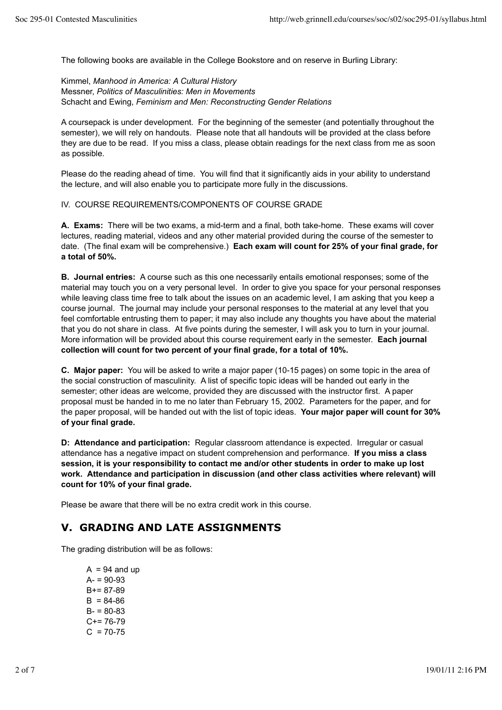The following books are available in the College Bookstore and on reserve in Burling Library:

Kimmel, *Manhood in America: A Cultural History* Messner, *Politics of Masculinities: Men in Movements* Schacht and Ewing, *Feminism and Men: Reconstructing Gender Relations*

A coursepack is under development. For the beginning of the semester (and potentially throughout the semester), we will rely on handouts. Please note that all handouts will be provided at the class before they are due to be read. If you miss a class, please obtain readings for the next class from me as soon as possible.

Please do the reading ahead of time. You will find that it significantly aids in your ability to understand the lecture, and will also enable you to participate more fully in the discussions.

IV. COURSE REQUIREMENTS/COMPONENTS OF COURSE GRADE

**A. Exams:** There will be two exams, a mid-term and a final, both take-home. These exams will cover lectures, reading material, videos and any other material provided during the course of the semester to date. (The final exam will be comprehensive.) **Each exam will count for 25% of your final grade, for a total of 50%.**

**B. Journal entries:** A course such as this one necessarily entails emotional responses; some of the material may touch you on a very personal level. In order to give you space for your personal responses while leaving class time free to talk about the issues on an academic level, I am asking that you keep a course journal. The journal may include your personal responses to the material at any level that you feel comfortable entrusting them to paper; it may also include any thoughts you have about the material that you do not share in class. At five points during the semester, I will ask you to turn in your journal. More information will be provided about this course requirement early in the semester. **Each journal collection will count for two percent of your final grade, for a total of 10%.**

**C. Major paper:** You will be asked to write a major paper (10-15 pages) on some topic in the area of the social construction of masculinity. A list of specific topic ideas will be handed out early in the semester; other ideas are welcome, provided they are discussed with the instructor first. A paper proposal must be handed in to me no later than February 15, 2002. Parameters for the paper, and for the paper proposal, will be handed out with the list of topic ideas. **Your major paper will count for 30% of your final grade.**

**D: Attendance and participation:** Regular classroom attendance is expected. Irregular or casual attendance has a negative impact on student comprehension and performance. **If you miss a class session, it is your responsibility to contact me and/or other students in order to make up lost work. Attendance and participation in discussion (and other class activities where relevant) will count for 10% of your final grade.**

Please be aware that there will be no extra credit work in this course.

### **V. GRADING AND LATE ASSIGNMENTS**

The grading distribution will be as follows:

 $A = 94$  and up  $A = 90-93$  $B+= 87-89$  $B = 84-86$  $B - 80 - 83$  $C+= 76-79$  $C = 70-75$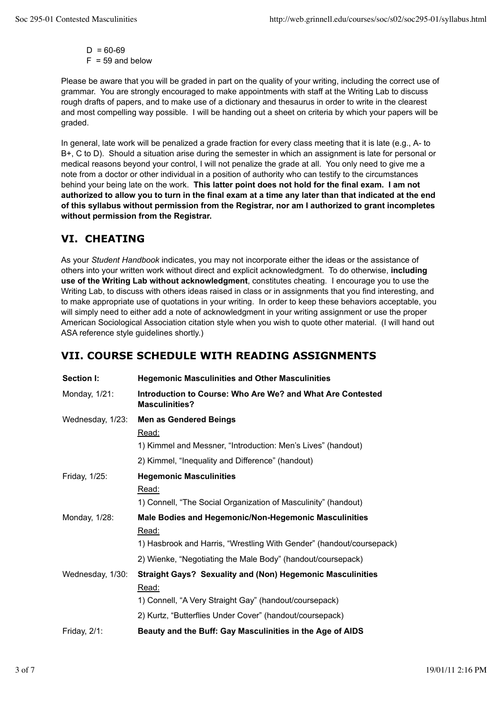$D = 60-69$  $F = 59$  and below

Please be aware that you will be graded in part on the quality of your writing, including the correct use of grammar. You are strongly encouraged to make appointments with staff at the Writing Lab to discuss rough drafts of papers, and to make use of a dictionary and thesaurus in order to write in the clearest and most compelling way possible. I will be handing out a sheet on criteria by which your papers will be graded.

In general, late work will be penalized a grade fraction for every class meeting that it is late (e.g., A- to B+, C to D). Should a situation arise during the semester in which an assignment is late for personal or medical reasons beyond your control, I will not penalize the grade at all. You only need to give me a note from a doctor or other individual in a position of authority who can testify to the circumstances behind your being late on the work. **This latter point does not hold for the final exam. I am not authorized to allow you to turn in the final exam at a time any later than that indicated at the end of this syllabus without permission from the Registrar, nor am I authorized to grant incompletes without permission from the Registrar.**

## **VI. CHEATING**

As your *Student Handbook* indicates, you may not incorporate either the ideas or the assistance of others into your written work without direct and explicit acknowledgment. To do otherwise, **including use of the Writing Lab without acknowledgment**, constitutes cheating. I encourage you to use the Writing Lab, to discuss with others ideas raised in class or in assignments that you find interesting, and to make appropriate use of quotations in your writing. In order to keep these behaviors acceptable, you will simply need to either add a note of acknowledgment in your writing assignment or use the proper American Sociological Association citation style when you wish to quote other material. (I will hand out ASA reference style guidelines shortly.)

## **VII. COURSE SCHEDULE WITH READING ASSIGNMENTS**

| Section I:       | <b>Hegemonic Masculinities and Other Masculinities</b>                              |
|------------------|-------------------------------------------------------------------------------------|
| Monday, 1/21:    | Introduction to Course: Who Are We? and What Are Contested<br><b>Masculinities?</b> |
| Wednesday, 1/23: | <b>Men as Gendered Beings</b>                                                       |
|                  | Read:                                                                               |
|                  | 1) Kimmel and Messner, "Introduction: Men's Lives" (handout)                        |
|                  | 2) Kimmel, "Inequality and Difference" (handout)                                    |
| Friday, 1/25:    | <b>Hegemonic Masculinities</b>                                                      |
|                  | Read:                                                                               |
|                  | 1) Connell, "The Social Organization of Masculinity" (handout)                      |
| Monday, 1/28:    | Male Bodies and Hegemonic/Non-Hegemonic Masculinities                               |
|                  | Read:                                                                               |
|                  | 1) Hasbrook and Harris, "Wrestling With Gender" (handout/coursepack)                |
|                  | 2) Wienke, "Negotiating the Male Body" (handout/coursepack)                         |
| Wednesday, 1/30: | <b>Straight Gays? Sexuality and (Non) Hegemonic Masculinities</b>                   |
|                  | Read:                                                                               |
|                  | 1) Connell, "A Very Straight Gay" (handout/coursepack)                              |
|                  | 2) Kurtz, "Butterflies Under Cover" (handout/coursepack)                            |
| Friday, $2/1$ :  | Beauty and the Buff: Gay Masculinities in the Age of AIDS                           |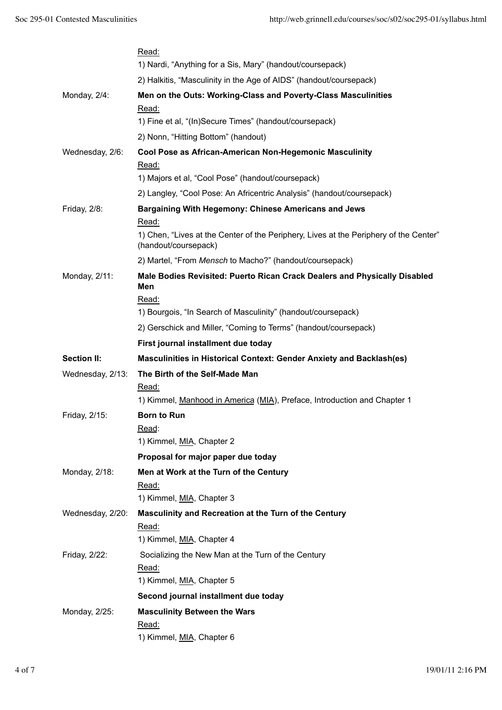|                    | Read:<br>1) Nardi, "Anything for a Sis, Mary" (handout/coursepack)                                            |
|--------------------|---------------------------------------------------------------------------------------------------------------|
|                    | 2) Halkitis, "Masculinity in the Age of AIDS" (handout/coursepack)                                            |
| Monday, 2/4:       | Men on the Outs: Working-Class and Poverty-Class Masculinities                                                |
|                    | Read:                                                                                                         |
|                    | 1) Fine et al, "(In)Secure Times" (handout/coursepack)                                                        |
|                    | 2) Nonn, "Hitting Bottom" (handout)                                                                           |
| Wednesday, 2/6:    | Cool Pose as African-American Non-Hegemonic Masculinity<br>Read:                                              |
|                    | 1) Majors et al, "Cool Pose" (handout/coursepack)                                                             |
|                    | 2) Langley, "Cool Pose: An Africentric Analysis" (handout/coursepack)                                         |
| Friday, 2/8:       | <b>Bargaining With Hegemony: Chinese Americans and Jews</b>                                                   |
|                    | Read:                                                                                                         |
|                    | 1) Chen, "Lives at the Center of the Periphery, Lives at the Periphery of the Center"<br>(handout/coursepack) |
|                    | 2) Martel, "From Mensch to Macho?" (handout/coursepack)                                                       |
| Monday, 2/11:      | Male Bodies Revisited: Puerto Rican Crack Dealers and Physically Disabled<br>Men                              |
|                    | Read:                                                                                                         |
|                    | 1) Bourgois, "In Search of Masculinity" (handout/coursepack)                                                  |
|                    | 2) Gerschick and Miller, "Coming to Terms" (handout/coursepack)                                               |
|                    | First journal installment due today                                                                           |
| <b>Section II:</b> | Masculinities in Historical Context: Gender Anxiety and Backlash(es)                                          |
| Wednesday, 2/13:   | The Birth of the Self-Made Man                                                                                |
|                    | Read:                                                                                                         |
|                    | 1) Kimmel, Manhood in America (MIA), Preface, Introduction and Chapter 1                                      |
| Friday, 2/15:      | <b>Born to Run</b>                                                                                            |
|                    | Read:                                                                                                         |
|                    | 1) Kimmel, MIA, Chapter 2                                                                                     |
|                    | Proposal for major paper due today                                                                            |
| Monday, 2/18:      | Men at Work at the Turn of the Century                                                                        |
|                    | Read:<br>1) Kimmel, MIA, Chapter 3                                                                            |
|                    |                                                                                                               |
| Wednesday, 2/20:   | Masculinity and Recreation at the Turn of the Century<br>Read:                                                |
|                    | 1) Kimmel, MIA, Chapter 4                                                                                     |
| Friday, 2/22:      | Socializing the New Man at the Turn of the Century                                                            |
|                    | Read:                                                                                                         |
|                    |                                                                                                               |
|                    | 1) Kimmel, MIA, Chapter 5                                                                                     |
|                    | Second journal installment due today                                                                          |
|                    |                                                                                                               |
| Monday, 2/25:      | <b>Masculinity Between the Wars</b><br>Read:                                                                  |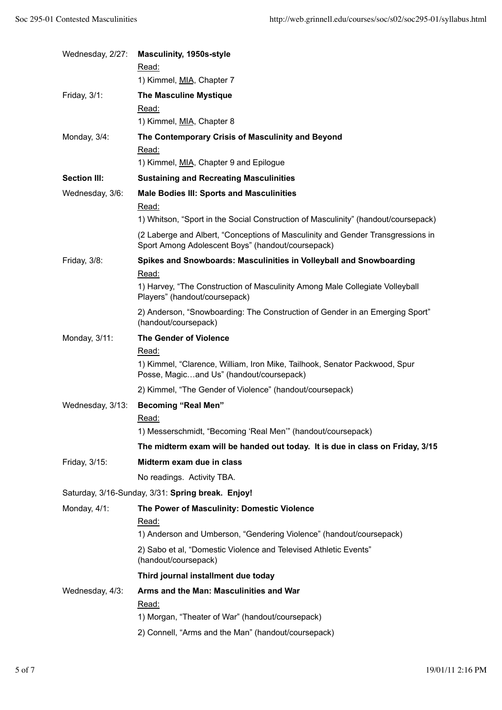| Wednesday, 2/27:    | <b>Masculinity, 1950s-style</b><br>Read:                                                                                             |
|---------------------|--------------------------------------------------------------------------------------------------------------------------------------|
|                     | 1) Kimmel, MIA, Chapter 7                                                                                                            |
| Friday, 3/1:        | <b>The Masculine Mystique</b>                                                                                                        |
|                     | Read:                                                                                                                                |
|                     | 1) Kimmel, MIA, Chapter 8                                                                                                            |
| Monday, 3/4:        | The Contemporary Crisis of Masculinity and Beyond                                                                                    |
|                     | Read:<br>1) Kimmel, MIA, Chapter 9 and Epilogue                                                                                      |
| <b>Section III:</b> | <b>Sustaining and Recreating Masculinities</b>                                                                                       |
| Wednesday, 3/6:     | <b>Male Bodies III: Sports and Masculinities</b>                                                                                     |
|                     | Read:                                                                                                                                |
|                     | 1) Whitson, "Sport in the Social Construction of Masculinity" (handout/coursepack)                                                   |
|                     | (2 Laberge and Albert, "Conceptions of Masculinity and Gender Transgressions in<br>Sport Among Adolescent Boys" (handout/coursepack) |
| Friday, 3/8:        | Spikes and Snowboards: Masculinities in Volleyball and Snowboarding                                                                  |
|                     | Read:                                                                                                                                |
|                     | 1) Harvey, "The Construction of Masculinity Among Male Collegiate Volleyball<br>Players" (handout/coursepack)                        |
|                     | 2) Anderson, "Snowboarding: The Construction of Gender in an Emerging Sport"<br>(handout/coursepack)                                 |
| Monday, 3/11:       | <b>The Gender of Violence</b>                                                                                                        |
|                     | Read:                                                                                                                                |
|                     | 1) Kimmel, "Clarence, William, Iron Mike, Tailhook, Senator Packwood, Spur<br>Posse, Magicand Us" (handout/coursepack)               |
|                     | 2) Kimmel, "The Gender of Violence" (handout/coursepack)                                                                             |
| Wednesday, 3/13:    | <b>Becoming "Real Men"</b>                                                                                                           |
|                     | Read:                                                                                                                                |
|                     | 1) Messerschmidt, "Becoming 'Real Men" (handout/coursepack)                                                                          |
|                     | The midterm exam will be handed out today. It is due in class on Friday, 3/15                                                        |
| Friday, 3/15:       | Midterm exam due in class                                                                                                            |
|                     | No readings. Activity TBA.                                                                                                           |
|                     | Saturday, 3/16-Sunday, 3/31: Spring break. Enjoy!                                                                                    |
| Monday, 4/1:        | The Power of Masculinity: Domestic Violence                                                                                          |
|                     | Read:                                                                                                                                |
|                     | 1) Anderson and Umberson, "Gendering Violence" (handout/coursepack)                                                                  |
|                     | 2) Sabo et al, "Domestic Violence and Televised Athletic Events"<br>(handout/coursepack)                                             |
|                     | Third journal installment due today                                                                                                  |
| Wednesday, 4/3:     | Arms and the Man: Masculinities and War                                                                                              |
|                     | Read:<br>1) Morgan, "Theater of War" (handout/coursepack)                                                                            |
|                     | 2) Connell, "Arms and the Man" (handout/coursepack)                                                                                  |
|                     |                                                                                                                                      |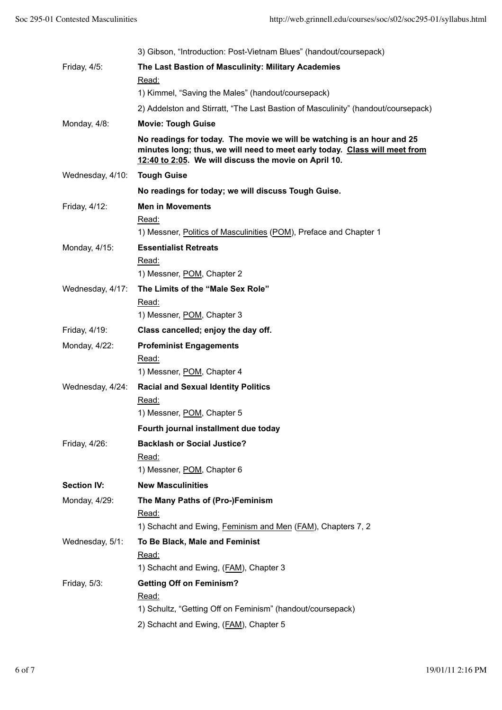|                    | 3) Gibson, "Introduction: Post-Vietnam Blues" (handout/coursepack)                                                                                                                                            |
|--------------------|---------------------------------------------------------------------------------------------------------------------------------------------------------------------------------------------------------------|
| Friday, 4/5:       | The Last Bastion of Masculinity: Military Academies                                                                                                                                                           |
|                    | Read:                                                                                                                                                                                                         |
|                    | 1) Kimmel, "Saving the Males" (handout/coursepack)                                                                                                                                                            |
|                    | 2) Addelston and Stirratt, "The Last Bastion of Masculinity" (handout/coursepack)                                                                                                                             |
| Monday, 4/8:       | <b>Movie: Tough Guise</b>                                                                                                                                                                                     |
|                    | No readings for today. The movie we will be watching is an hour and 25<br>minutes long; thus, we will need to meet early today. Class will meet from<br>12:40 to 2:05. We will discuss the movie on April 10. |
| Wednesday, 4/10:   | <b>Tough Guise</b>                                                                                                                                                                                            |
|                    | No readings for today; we will discuss Tough Guise.                                                                                                                                                           |
| Friday, 4/12:      | <b>Men in Movements</b>                                                                                                                                                                                       |
|                    | Read:                                                                                                                                                                                                         |
|                    | 1) Messner, Politics of Masculinities (POM), Preface and Chapter 1                                                                                                                                            |
| Monday, 4/15:      | <b>Essentialist Retreats</b>                                                                                                                                                                                  |
|                    | Read:                                                                                                                                                                                                         |
|                    | 1) Messner, POM, Chapter 2                                                                                                                                                                                    |
| Wednesday, 4/17:   | The Limits of the "Male Sex Role"                                                                                                                                                                             |
|                    | Read:                                                                                                                                                                                                         |
|                    | 1) Messner, POM, Chapter 3                                                                                                                                                                                    |
| Friday, 4/19:      | Class cancelled; enjoy the day off.                                                                                                                                                                           |
| Monday, 4/22:      | <b>Profeminist Engagements</b>                                                                                                                                                                                |
|                    | Read:                                                                                                                                                                                                         |
|                    | 1) Messner, POM, Chapter 4                                                                                                                                                                                    |
| Wednesday, 4/24:   | <b>Racial and Sexual Identity Politics</b>                                                                                                                                                                    |
|                    | Read:                                                                                                                                                                                                         |
|                    | 1) Messner, POM, Chapter 5                                                                                                                                                                                    |
|                    | Fourth journal installment due today                                                                                                                                                                          |
| Friday, 4/26:      | <b>Backlash or Social Justice?</b>                                                                                                                                                                            |
|                    | Read:                                                                                                                                                                                                         |
|                    | 1) Messner, POM, Chapter 6                                                                                                                                                                                    |
| <b>Section IV:</b> | <b>New Masculinities</b>                                                                                                                                                                                      |
| Monday, 4/29:      | The Many Paths of (Pro-)Feminism                                                                                                                                                                              |
|                    | Read:                                                                                                                                                                                                         |
|                    | 1) Schacht and Ewing, Feminism and Men (FAM), Chapters 7, 2                                                                                                                                                   |
| Wednesday, 5/1:    | To Be Black, Male and Feminist                                                                                                                                                                                |
|                    | Read:<br>1) Schacht and Ewing, (FAM), Chapter 3                                                                                                                                                               |
|                    |                                                                                                                                                                                                               |
| Friday, 5/3:       | <b>Getting Off on Feminism?</b><br>Read:                                                                                                                                                                      |
|                    | 1) Schultz, "Getting Off on Feminism" (handout/coursepack)                                                                                                                                                    |
|                    | 2) Schacht and Ewing, (FAM), Chapter 5                                                                                                                                                                        |
|                    |                                                                                                                                                                                                               |